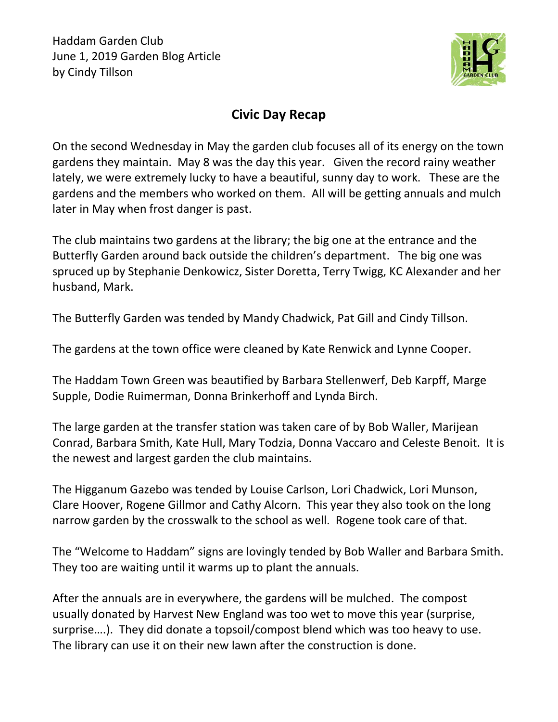

## **Civic Day Recap**

On the second Wednesday in May the garden club focuses all of its energy on the town gardens they maintain. May 8 was the day this year. Given the record rainy weather lately, we were extremely lucky to have a beautiful, sunny day to work. These are the gardens and the members who worked on them. All will be getting annuals and mulch later in May when frost danger is past.

The club maintains two gardens at the library; the big one at the entrance and the Butterfly Garden around back outside the children's department. The big one was spruced up by Stephanie Denkowicz, Sister Doretta, Terry Twigg, KC Alexander and her husband, Mark.

The Butterfly Garden was tended by Mandy Chadwick, Pat Gill and Cindy Tillson.

The gardens at the town office were cleaned by Kate Renwick and Lynne Cooper.

The Haddam Town Green was beautified by Barbara Stellenwerf, Deb Karpff, Marge Supple, Dodie Ruimerman, Donna Brinkerhoff and Lynda Birch.

The large garden at the transfer station was taken care of by Bob Waller, Marijean Conrad, Barbara Smith, Kate Hull, Mary Todzia, Donna Vaccaro and Celeste Benoit. It is the newest and largest garden the club maintains.

The Higganum Gazebo was tended by Louise Carlson, Lori Chadwick, Lori Munson, Clare Hoover, Rogene Gillmor and Cathy Alcorn. This year they also took on the long narrow garden by the crosswalk to the school as well. Rogene took care of that.

The "Welcome to Haddam" signs are lovingly tended by Bob Waller and Barbara Smith. They too are waiting until it warms up to plant the annuals.

After the annuals are in everywhere, the gardens will be mulched. The compost usually donated by Harvest New England was too wet to move this year (surprise, surprise….). They did donate a topsoil/compost blend which was too heavy to use. The library can use it on their new lawn after the construction is done.